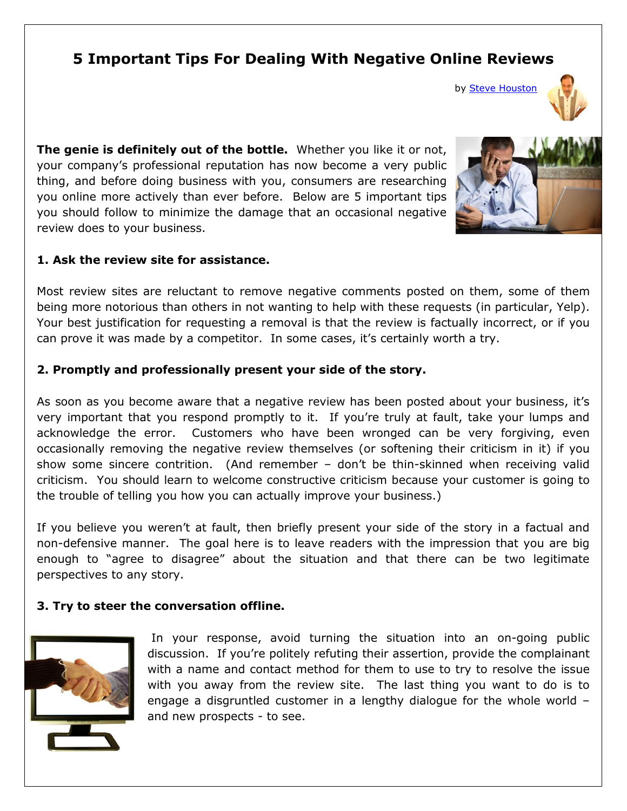# **5 Important Tips For Dealing With Negative Online Reviews**

by [Steve Houston](http://www.linkedin.com/in/stevehoustoninternetmarketing) 



**The genie is definitely out of the bottle.** Whether you like it or not, your company's professional reputation has now become a very public thing, and before doing business with you, consumers are researching you online more actively than ever before. Below are 5 important tips you should follow to minimize the damage that an occasional negative review does to your business.

#### **1. Ask the review site for assistance.**

Most review sites are reluctant to remove negative comments posted on them, some of them being more notorious than others in not wanting to help with these requests (in particular, Yelp). Your best justification for requesting a removal is that the review is factually incorrect, or if you can prove it was made by a competitor. In some cases, it's certainly worth a try.

## **2. Promptly and professionally present your side of the story.**

As soon as you become aware that a negative review has been posted about your business, it's very important that you respond promptly to it. If you're truly at fault, take your lumps and acknowledge the error. Customers who have been wronged can be very forgiving, even occasionally removing the negative review themselves (or softening their criticism in it) if you show some sincere contrition. (And remember – don't be thin-skinned when receiving valid criticism. You should learn to welcome constructive criticism because your customer is going to the trouble of telling you how you can actually improve your business.)

If you believe you weren't at fault, then briefly present your side of the story in a factual and non-defensive manner. The goal here is to leave readers with the impression that you are big enough to "agree to disagree" about the situation and that there can be two legitimate perspectives to any story.

## **3. Try to steer the conversation offline.**



In your response, avoid turning the situation into an on-going public discussion. If you're politely refuting their assertion, provide the complainant with a name and contact method for them to use to try to resolve the issue with you away from the review site. The last thing you want to do is to engage a disgruntled customer in a lengthy dialogue for the whole world – and new prospects - to see.